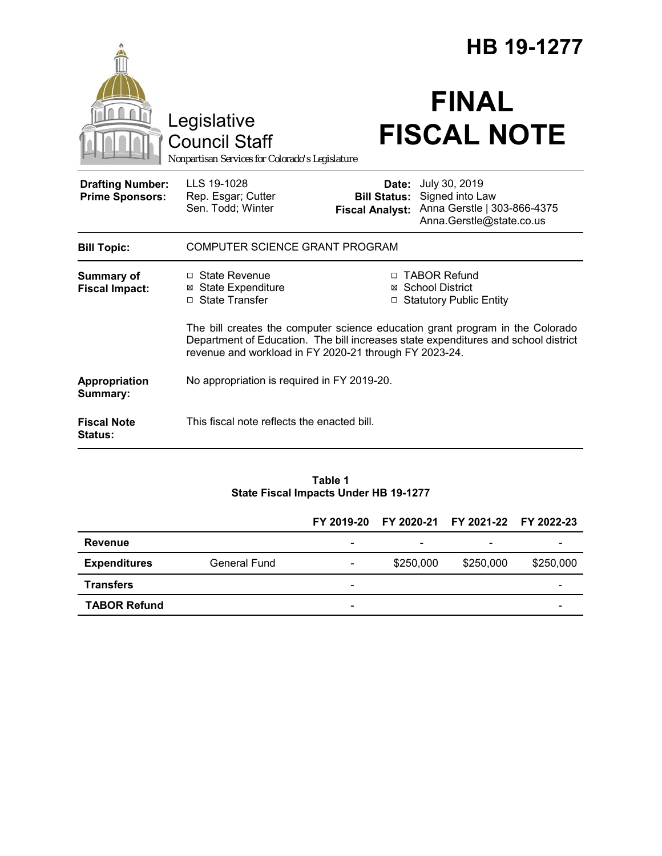|                                                   |                                                                                                                                                                                                                               | HB 19-1277                                                       |                                                                                             |  |  |  |
|---------------------------------------------------|-------------------------------------------------------------------------------------------------------------------------------------------------------------------------------------------------------------------------------|------------------------------------------------------------------|---------------------------------------------------------------------------------------------|--|--|--|
|                                                   | Legislative<br><b>Council Staff</b><br>Nonpartisan Services for Colorado's Legislature                                                                                                                                        |                                                                  | <b>FINAL</b><br><b>FISCAL NOTE</b>                                                          |  |  |  |
| <b>Drafting Number:</b><br><b>Prime Sponsors:</b> | LLS 19-1028<br>Rep. Esgar; Cutter<br>Sen. Todd; Winter                                                                                                                                                                        | Date:<br><b>Bill Status:</b><br><b>Fiscal Analyst:</b>           | July 30, 2019<br>Signed into Law<br>Anna Gerstle   303-866-4375<br>Anna.Gerstle@state.co.us |  |  |  |
| <b>Bill Topic:</b>                                | COMPUTER SCIENCE GRANT PROGRAM                                                                                                                                                                                                |                                                                  |                                                                                             |  |  |  |
| <b>Summary of</b><br><b>Fiscal Impact:</b>        | $\Box$ State Revenue<br>⊠ State Expenditure<br>$\Box$ State Transfer                                                                                                                                                          | □ TABOR Refund<br>⊠ School District<br>□ Statutory Public Entity |                                                                                             |  |  |  |
|                                                   | The bill creates the computer science education grant program in the Colorado<br>Department of Education. The bill increases state expenditures and school district<br>revenue and workload in FY 2020-21 through FY 2023-24. |                                                                  |                                                                                             |  |  |  |
| Appropriation<br>Summary:                         | No appropriation is required in FY 2019-20.                                                                                                                                                                                   |                                                                  |                                                                                             |  |  |  |
| <b>Fiscal Note</b><br>Status:                     | This fiscal note reflects the enacted bill.                                                                                                                                                                                   |                                                                  |                                                                                             |  |  |  |

#### **Table 1 State Fiscal Impacts Under HB 19-1277**

|                     |              |                          |           | FY 2019-20 FY 2020-21 FY 2021-22 FY 2022-23 |           |
|---------------------|--------------|--------------------------|-----------|---------------------------------------------|-----------|
| <b>Revenue</b>      |              | $\overline{\phantom{a}}$ | ۰         | $\overline{\phantom{0}}$                    |           |
| <b>Expenditures</b> | General Fund | $\overline{\phantom{a}}$ | \$250,000 | \$250,000                                   | \$250,000 |
| <b>Transfers</b>    |              | -                        |           |                                             |           |
| <b>TABOR Refund</b> |              | $\overline{\phantom{a}}$ |           |                                             |           |